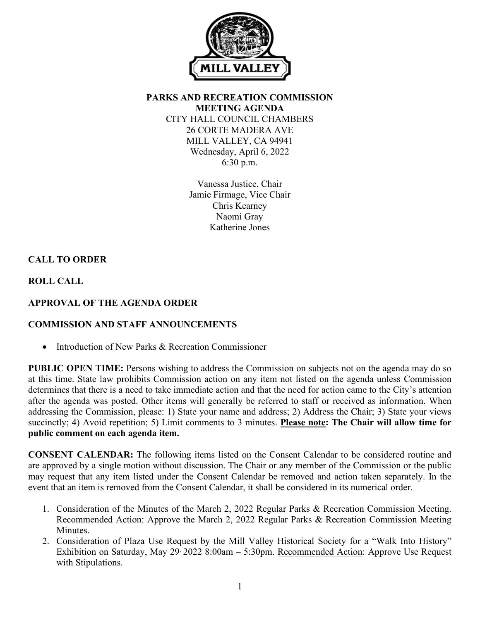

**PARKS AND RECREATION COMMISSION MEETING AGENDA** CITY HALL COUNCIL CHAMBERS 26 CORTE MADERA AVE MILL VALLEY, CA 94941 Wednesday, April 6, 2022 6:30 p.m.

> Vanessa Justice, Chair Jamie Firmage, Vice Chair Chris Kearney Naomi Gray Katherine Jones

# **CALL TO ORDER**

**ROLL CALL**

# **APPROVAL OF THE AGENDA ORDER**

## **COMMISSION AND STAFF ANNOUNCEMENTS**

• Introduction of New Parks & Recreation Commissioner

**PUBLIC OPEN TIME:** Persons wishing to address the Commission on subjects not on the agenda may do so at this time. State law prohibits Commission action on any item not listed on the agenda unless Commission determines that there is a need to take immediate action and that the need for action came to the City's attention after the agenda was posted. Other items will generally be referred to staff or received as information. When addressing the Commission, please: 1) State your name and address; 2) Address the Chair; 3) State your views succinctly; 4) Avoid repetition; 5) Limit comments to 3 minutes. **Please note: The Chair will allow time for public comment on each agenda item.**

**CONSENT CALENDAR:** The following items listed on the Consent Calendar to be considered routine and are approved by a single motion without discussion. The Chair or any member of the Commission or the public may request that any item listed under the Consent Calendar be removed and action taken separately. In the event that an item is removed from the Consent Calendar, it shall be considered in its numerical order.

- 1. Consideration of the Minutes of the March 2, 2022 Regular Parks & Recreation Commission Meeting. Recommended Action: Approve the March 2, 2022 Regular Parks & Recreation Commission Meeting Minutes.
- 2. Consideration of Plaza Use Request by the Mill Valley Historical Society for a "Walk Into History" Exhibition on Saturday, May 29, 2022 8:00am – 5:30pm. Recommended Action: Approve Use Request with Stipulations.